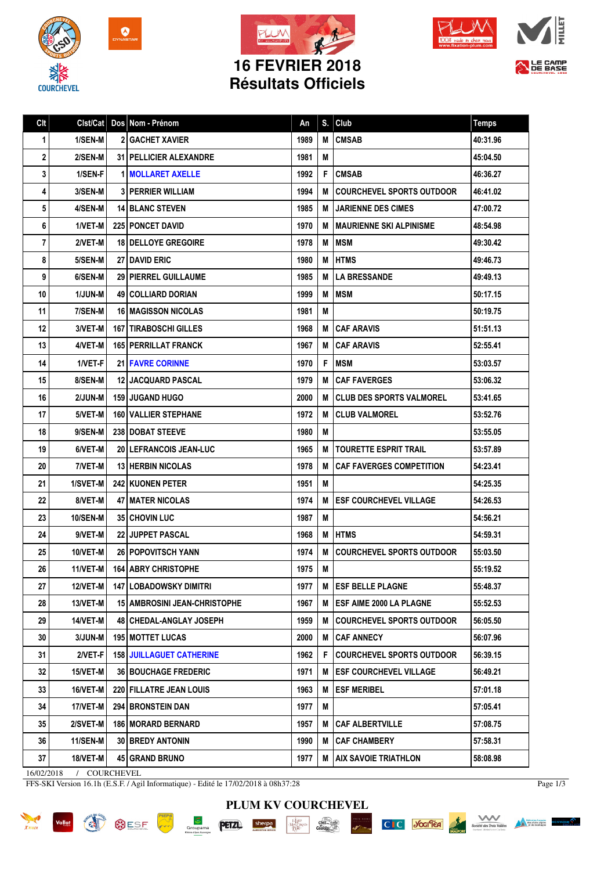







LE CAMP

## **16 FEVRIER 2018 Résultats Officiels**

| Clt                        | Clst/Cat       |  | Dos Nom - Prénom                    | An   | S. | Club                             | <b>Temps</b> |
|----------------------------|----------------|--|-------------------------------------|------|----|----------------------------------|--------------|
| 1                          | 1/SEN-M        |  | <b>2 GACHET XAVIER</b>              | 1989 | M  | <b>CMSAB</b>                     | 40:31.96     |
| $\mathbf{2}$               | 2/SEN-M        |  | <b>31   PELLICIER ALEXANDRE</b>     | 1981 | M  |                                  | 45:04.50     |
| 3                          | 1/SEN-F        |  | <b>1 MOLLARET AXELLE</b>            | 1992 | F  | <b>CMSAB</b>                     | 46:36.27     |
| 4                          | <b>3/SEN-M</b> |  | <b>3 PERRIER WILLIAM</b>            | 1994 | M  | <b>COURCHEVEL SPORTS OUTDOOR</b> | 46:41.02     |
| 5                          | 4/SEN-M        |  | <b>14 BLANC STEVEN</b>              | 1985 | М  | <b>I JARIENNE DES CIMES</b>      | 47:00.72     |
| 6                          | 1/VET-M        |  | 225 PONCET DAVID                    | 1970 | М  | <b>MAURIENNE SKI ALPINISME</b>   | 48:54.98     |
| 7                          | 2/VET-M        |  | <b>18 I DELLOYE GREGOIRE</b>        | 1978 | M  | <b>IMSM</b>                      | 49:30.42     |
| 8                          | 5/SEN-M        |  | <b>27 I DAVID ERIC</b>              | 1980 | М  | <b>IHTMS</b>                     | 49:46.73     |
| 9                          | 6/SEN-M        |  | <b>29   PIERREL GUILLAUME</b>       | 1985 | M  | <b>LA BRESSANDE</b>              | 49:49.13     |
| 10                         | 1/JUN-M        |  | 49   COLLIARD DORIAN                | 1999 | М  | <b>IMSM</b>                      | 50:17.15     |
| 11                         | 7/SEN-M        |  | <b>16   MAGISSON NICOLAS</b>        | 1981 | M  |                                  | 50:19.75     |
| 12                         | 3/VET-M        |  | <b>167   TIRABOSCHI GILLES</b>      | 1968 | М  | <b>CAF ARAVIS</b>                | 51:51.13     |
| 13                         | 4/VET-M        |  | <b>165 PERRILLAT FRANCK</b>         | 1967 | M  | <b>CAF ARAVIS</b>                | 52:55.41     |
| 14                         | 1/VET-F        |  | <b>21   FAVRE CORINNE</b>           | 1970 | F  | <b>MSM</b>                       | 53:03.57     |
| 15                         | 8/SEN-M        |  | 12 JACQUARD PASCAL                  | 1979 | M  | <b>CAF FAVERGES</b>              | 53:06.32     |
| 16                         | 2/JUN-M        |  | <b>159 JUGAND HUGO</b>              | 2000 | M  | <b>CLUB DES SPORTS VALMOREL</b>  | 53:41.65     |
| 17                         | 5/VET-M        |  | <b>160 VALLIER STEPHANE</b>         | 1972 | M  | <b>CLUB VALMOREL</b>             | 53:52.76     |
| 18                         | 9/SEN-M        |  | <b>238 DOBAT STEEVE</b>             | 1980 | M  |                                  | 53:55.05     |
| 19                         | 6/VET-M        |  | 20   LEFRANCOIS JEAN-LUC            | 1965 | M  | TOURETTE ESPRIT TRAIL            | 53:57.89     |
| 20                         | 7/VET-M        |  | <b>13 HERBIN NICOLAS</b>            | 1978 | M  | <b>CAF FAVERGES COMPETITION</b>  | 54:23.41     |
| 21                         | 1/SVET-M       |  | <b>242 KUONEN PETER</b>             | 1951 | M  |                                  | 54:25.35     |
| 22                         | 8/VET-M        |  | <b>47 I MATER NICOLAS</b>           | 1974 | M  | <b>ESF COURCHEVEL VILLAGE</b>    | 54:26.53     |
| 23                         | 10/SEN-M       |  | <b>35 CHOVIN LUC</b>                | 1987 | M  |                                  | 54:56.21     |
| 24                         | 9/VET-M        |  | 22 JUPPET PASCAL                    | 1968 | M  | <b>HTMS</b>                      | 54:59.31     |
| 25                         | 10/VET-M       |  | <b>26 POPOVITSCH YANN</b>           | 1974 | М  | <b>COURCHEVEL SPORTS OUTDOOR</b> | 55:03.50     |
| 26                         | 11/VET-M       |  | <b>164   ABRY CHRISTOPHE</b>        | 1975 | M  |                                  | 55:19.52     |
| 27                         | 12/VET-M       |  | <b>147 LOBADOWSKY DIMITRI</b>       | 1977 | М  | <b>IESF BELLE PLAGNE</b>         | 55:48.37     |
| 28                         | 13/VET-M       |  | <b>15 AMBROSINI JEAN-CHRISTOPHE</b> | 1967 | M  | <b>ESF AIME 2000 LA PLAGNE</b>   | 55:52.53     |
| 29                         | 14/VET-M       |  | 48 CHEDAL-ANGLAY JOSEPH             | 1959 | М  | <b>COURCHEVEL SPORTS OUTDOOR</b> | 56:05.50     |
| 30                         | 3/JUN-M        |  | <b>195   MOTTET LUCAS</b>           | 2000 | М  | <b>CAF ANNECY</b>                | 56:07.96     |
| 31                         | 2/VET-F        |  | <b>158 JUILLAGUET CATHERINE</b>     | 1962 | F  | <b>COURCHEVEL SPORTS OUTDOOR</b> | 56:39.15     |
| 32                         | 15/VET-M       |  | <b>36 BOUCHAGE FREDERIC</b>         | 1971 | M  | <b>ESF COURCHEVEL VILLAGE</b>    | 56:49.21     |
| 33                         | 16/VET-M       |  | 220 FILLATRE JEAN LOUIS             | 1963 | M  | <b>ESF MERIBEL</b>               | 57:01.18     |
| 34                         | 17/VET-M       |  | 294 BRONSTEIN DAN                   | 1977 | Μ  |                                  | 57:05.41     |
| 35                         | 2/SVET-M       |  | 186 MORARD BERNARD                  | 1957 | M  | <b>CAF ALBERTVILLE</b>           | 57:08.75     |
| 36                         | 11/SEN-M       |  | <b>30 BREDY ANTONIN</b>             | 1990 | M  | <b>CAF CHAMBERY</b>              | 57:58.31     |
| 37                         | 18/VET-M       |  | 45 GRAND BRUNO                      | 1977 | M  | <b>AIX SAVOIE TRIATHLON</b>      | 58:08.98     |
| 16/02/2018<br>/ COURCHEVEL |                |  |                                     |      |    |                                  |              |

FFS-SKI Version 16.1h (E.S.F. / Agil Informatique) - Edité le 17/02/2018 à 08h37:28

Page 1/3











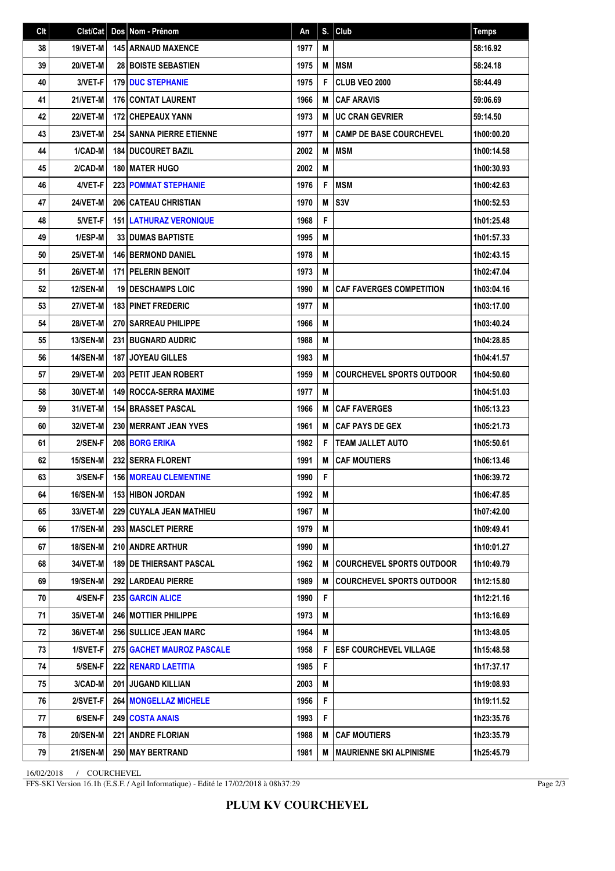| Clt | Clst/Cat        | Dos Nom - Prénom                 | An   | S. | Club                             | <b>Temps</b> |
|-----|-----------------|----------------------------------|------|----|----------------------------------|--------------|
| 38  | 19/VET-M        | <b>145 ARNAUD MAXENCE</b>        | 1977 | М  |                                  | 58:16.92     |
| 39  | 20/VET-M        | <b>28 BOISTE SEBASTIEN</b>       | 1975 | M  | <b>MSM</b>                       | 58:24.18     |
| 40  | 3/VET-F         | <b>179 IDUC STEPHANIE</b>        | 1975 | F  | <b>CLUB VEO 2000</b>             | 58:44.49     |
| 41  | 21/VET-M        | <b>176 CONTAT LAURENT</b>        | 1966 | M  | <b>CAF ARAVIS</b>                | 59:06.69     |
| 42  | <b>22/VET-M</b> | <b>172 CHEPEAUX YANN</b>         | 1973 | M  | <b>UC CRAN GEVRIER</b>           | 59:14.50     |
| 43  | 23/VET-M        | <b>254 SANNA PIERRE ETIENNE</b>  | 1977 | M  | <b>CAMP DE BASE COURCHEVEL</b>   | 1h00:00.20   |
| 44  | 1/CAD-M         | <b>184 DUCOURET BAZIL</b>        | 2002 | М  | MSM                              | 1h00:14.58   |
| 45  | 2/CAD-M         | 180 MATER HUGO                   | 2002 | M  |                                  | 1h00:30.93   |
| 46  | 4/VET-F         | 223 POMMAT STEPHANIE             | 1976 | F  | <b>MSM</b>                       | 1h00:42.63   |
| 47  | 24/VET-M        | <b>206 CATEAU CHRISTIAN</b>      | 1970 | М  | S <sub>3V</sub>                  | 1h00:52.53   |
| 48  | 5/VET-F         | <b>151 LATHURAZ VERONIQUE</b>    | 1968 | F  |                                  | 1h01:25.48   |
| 49  | 1/ESP-M         | <b>33 DUMAS BAPTISTE</b>         | 1995 | M  |                                  | 1h01:57.33   |
| 50  | 25/VET-M        | <b>146 BERMOND DANIEL</b>        | 1978 | M  |                                  | 1h02:43.15   |
| 51  | 26/VET-M        | <b>171 PELERIN BENOIT</b>        | 1973 | M  |                                  | 1h02:47.04   |
| 52  | <b>12/SEN-M</b> | <b>19 I DESCHAMPS LOIC</b>       | 1990 | M  | <b>CAF FAVERGES COMPETITION</b>  | 1h03:04.16   |
| 53  | 27/VET-M        | <b>183   PINET FREDERIC</b>      | 1977 | M  |                                  | 1h03:17.00   |
| 54  | <b>28/VET-M</b> | 270 SARREAU PHILIPPE             | 1966 | M  |                                  | 1h03:40.24   |
| 55  | 13/SEN-M        | <b>231 BUGNARD AUDRIC</b>        | 1988 | M  |                                  | 1h04:28.85   |
| 56  | 14/SEN-M        | <b>187 JOYEAU GILLES</b>         | 1983 | M  |                                  | 1h04:41.57   |
| 57  | <b>29/VET-M</b> | 203 PETIT JEAN ROBERT            | 1959 | M  | <b>COURCHEVEL SPORTS OUTDOOR</b> | 1h04:50.60   |
| 58  | 30/VET-M        | <b>149 ROCCA-SERRA MAXIME</b>    | 1977 | M  |                                  | 1h04:51.03   |
| 59  | 31/VET-M        | 154 BRASSET PASCAL               | 1966 | M  | <b>CAF FAVERGES</b>              | 1h05:13.23   |
| 60  | 32/VET-M        | 230 IMERRANT JEAN YVES           | 1961 | M  | <b>CAF PAYS DE GEX</b>           | 1h05:21.73   |
| 61  | 2/SEN-F         | 208 BORG ERIKA                   | 1982 | F  | <b>TEAM JALLET AUTO</b>          | 1h05:50.61   |
| 62  | 15/SEN-M        | <b>232 SERRA FLORENT</b>         | 1991 | M  | <b>CAF MOUTIERS</b>              | 1h06:13.46   |
| 63  | 3/SEN-F         | <b>156 MOREAU CLEMENTINE</b>     | 1990 | F  |                                  | 1h06:39.72   |
| 64  | 16/SEN-M        | 153 HIBON JORDAN                 | 1992 | Μ  |                                  | 1h06:47.85   |
| 65  | 33/VET-M        | 229   CUYALA JEAN MATHIEU        | 1967 | M  |                                  | 1h07:42.00   |
| 66  | 17/SEN-M        | 293   MASCLET PIERRE             | 1979 | M  |                                  | 1h09:49.41   |
| 67  | <b>18/SEN-M</b> | 210 ANDRE ARTHUR                 | 1990 | M  |                                  | 1h10:01.27   |
| 68  | 34/VET-M        | <b>189   DE THIERSANT PASCAL</b> | 1962 | M  | <b>COURCHEVEL SPORTS OUTDOOR</b> | 1h10:49.79   |
| 69  | 19/SEN-M        | <b>292 LARDEAU PIERRE</b>        | 1989 | M  | <b>COURCHEVEL SPORTS OUTDOOR</b> | 1h12:15.80   |
| 70  | 4/SEN-F         | 235 GARCIN ALICE                 | 1990 | F  |                                  | 1h12:21.16   |
| 71  | 35/VET-M        | <b>246 MOTTIER PHILIPPE</b>      | 1973 | M  |                                  | 1h13:16.69   |
| 72  | 36/VET-M        | 256 SULLICE JEAN MARC            | 1964 | M  |                                  | 1h13:48.05   |
| 73  | 1/SVET-F        | 275 GACHET MAUROZ PASCALE        | 1958 | F  | <b>ESF COURCHEVEL VILLAGE</b>    | 1h15:48.58   |
| 74  | 5/SEN-F         | <b>222 RENARD LAETITIA</b>       | 1985 | F  |                                  | 1h17:37.17   |
| 75  | 3/CAD-M         | <b>201 JUGAND KILLIAN</b>        | 2003 | M  |                                  | 1h19:08.93   |
| 76  | 2/SVET-F        | 264 MONGELLAZ MICHELE            | 1956 | F  |                                  | 1h19:11.52   |
| 77  | 6/SEN-F         | 249 COSTA ANAIS                  | 1993 | F  |                                  | 1h23:35.76   |
| 78  | <b>20/SEN-M</b> | <b>221   ANDRE FLORIAN</b>       | 1988 | Μ  | <b>CAF MOUTIERS</b>              | 1h23:35.79   |
| 79  | 21/SEN-M        | 250 MAY BERTRAND                 | 1981 | M  | <b>IMAURIENNE SKI ALPINISME</b>  | 1h25:45.79   |

16/02/2018 / COURCHEVEL

FFS-SKI Version 16.1h (E.S.F. / Agil Informatique) - Edité le 17/02/2018 à 08h37:29